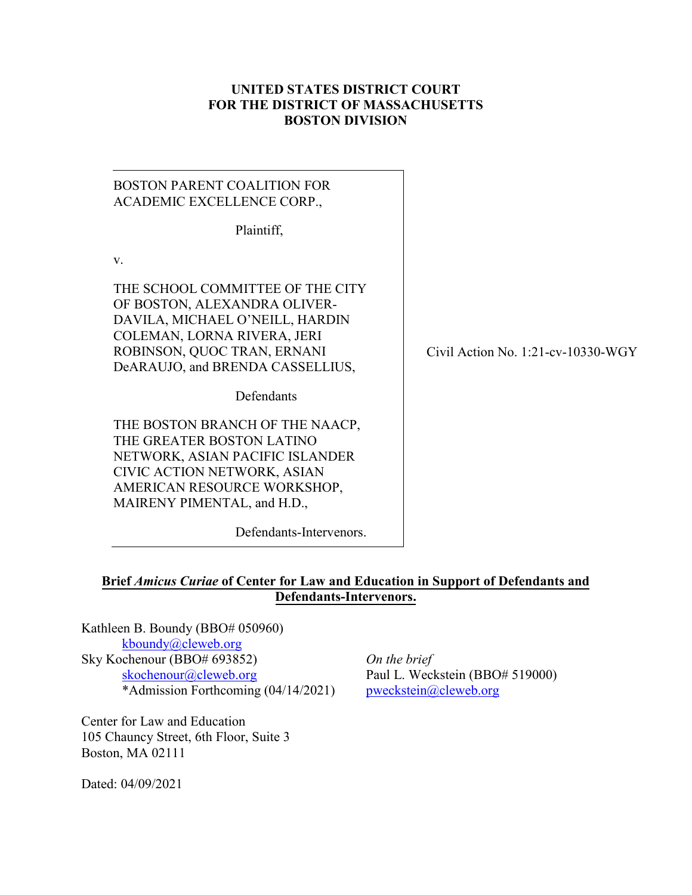#### **UNITED STATES DISTRICT COURT FOR THE DISTRICT OF MASSACHUSETTS BOSTON DIVISION**

# BOSTON PARENT COALITION FOR ACADEMIC EXCELLENCE CORP.,

Plaintiff,

v.

THE SCHOOL COMMITTEE OF THE CITY OF BOSTON, ALEXANDRA OLIVER-DAVILA, MICHAEL O'NEILL, HARDIN COLEMAN, LORNA RIVERA, JERI ROBINSON, QUOC TRAN, ERNANI DeARAUJO, and BRENDA CASSELLIUS,

**Defendants** 

THE BOSTON BRANCH OF THE NAACP, THE GREATER BOSTON LATINO NETWORK, ASIAN PACIFIC ISLANDER CIVIC ACTION NETWORK, ASIAN AMERICAN RESOURCE WORKSHOP, MAIRENY PIMENTAL, and H.D.,

Defendants-Intervenors.

Civil Action No. 1:21-cv-10330-WGY

# **Brief** *Amicus Curiae* **of Center for Law and Education in Support of Defendants and Defendants-Intervenors.**

Kathleen B. Boundy (BBO# 050960) [kboundy@cleweb.org](mailto:kboundy@cleweb.org) Sky Kochenour (BBO# 693852) *On the brief* [skochenour@cleweb.org](mailto:skochenour@cleweb.org) Paul L. Weckstein (BBO# 519000) \*Admission Forthcoming (04/14/2021) [pweckstein@cleweb.org](mailto:pweckstein@cleweb.org)

Center for Law and Education 105 Chauncy Street, 6th Floor, Suite 3 Boston, MA 02111

Dated: 04/09/2021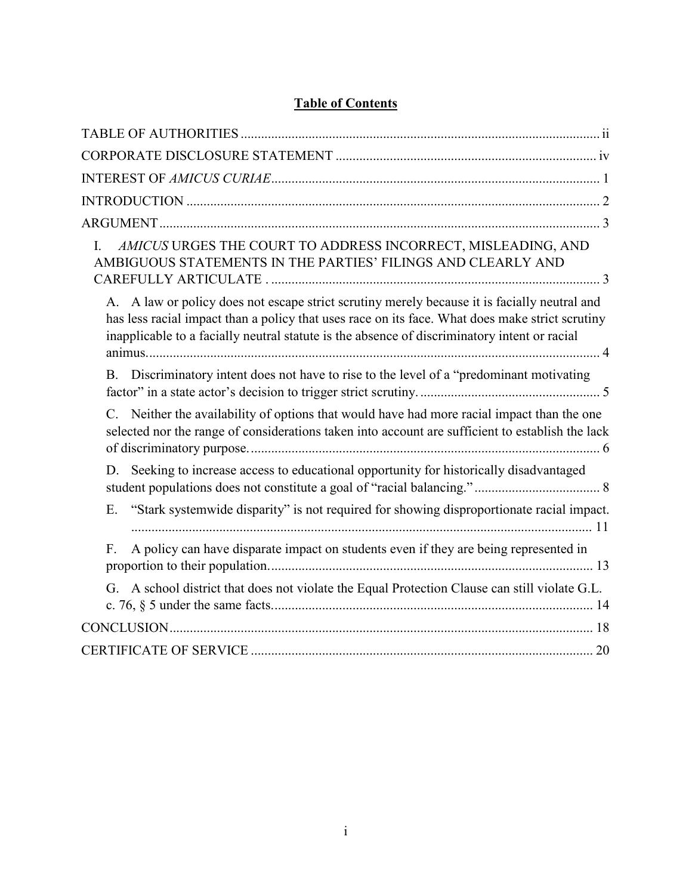# **Table of Contents**

| AMICUS URGES THE COURT TO ADDRESS INCORRECT, MISLEADING, AND<br>I.<br>AMBIGUOUS STATEMENTS IN THE PARTIES' FILINGS AND CLEARLY AND                                                                                                                                                              |
|-------------------------------------------------------------------------------------------------------------------------------------------------------------------------------------------------------------------------------------------------------------------------------------------------|
| A. A law or policy does not escape strict scrutiny merely because it is facially neutral and<br>has less racial impact than a policy that uses race on its face. What does make strict scrutiny<br>inapplicable to a facially neutral statute is the absence of discriminatory intent or racial |
| Discriminatory intent does not have to rise to the level of a "predominant motivating<br><b>B.</b>                                                                                                                                                                                              |
| C. Neither the availability of options that would have had more racial impact than the one<br>selected nor the range of considerations taken into account are sufficient to establish the lack                                                                                                  |
| Seeking to increase access to educational opportunity for historically disadvantaged<br>D.                                                                                                                                                                                                      |
| "Stark systemwide disparity" is not required for showing disproportionate racial impact.<br>Ε.                                                                                                                                                                                                  |
| A policy can have disparate impact on students even if they are being represented in<br>F.                                                                                                                                                                                                      |
| G. A school district that does not violate the Equal Protection Clause can still violate G.L.                                                                                                                                                                                                   |
|                                                                                                                                                                                                                                                                                                 |
|                                                                                                                                                                                                                                                                                                 |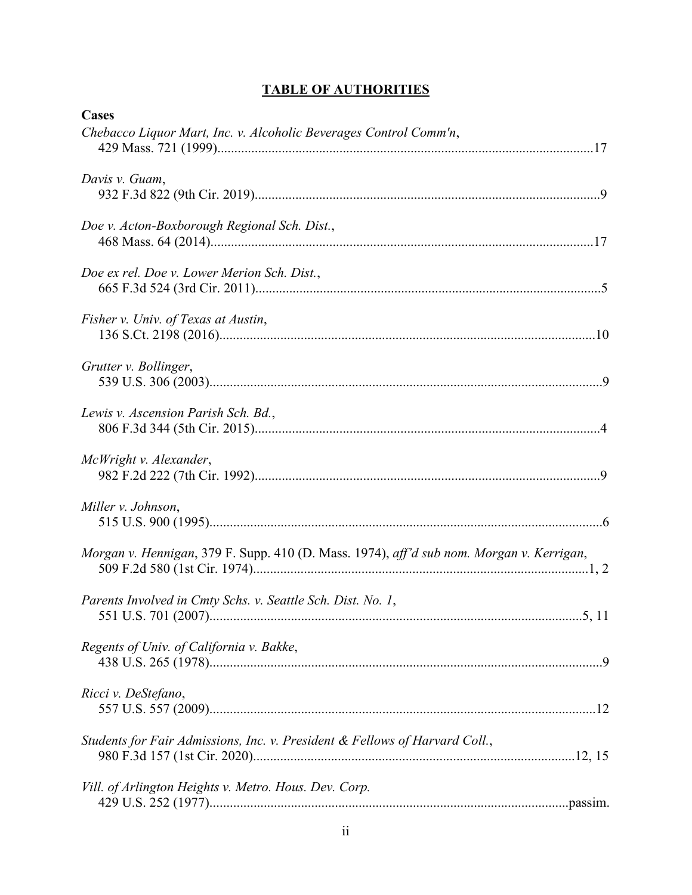| <b>TABLE OF AUTHORITIES</b> |  |  |  |
|-----------------------------|--|--|--|
|                             |  |  |  |

<span id="page-2-0"></span>

| <b>Cases</b>                                                                             |
|------------------------------------------------------------------------------------------|
| Chebacco Liquor Mart, Inc. v. Alcoholic Beverages Control Comm'n,                        |
| Davis v. Guam,                                                                           |
| Doe v. Acton-Boxborough Regional Sch. Dist.,                                             |
| Doe ex rel. Doe v. Lower Merion Sch. Dist.,                                              |
| Fisher v. Univ. of Texas at Austin,                                                      |
| Grutter v. Bollinger,                                                                    |
| Lewis v. Ascension Parish Sch. Bd.,                                                      |
| McWright v. Alexander,                                                                   |
| Miller v. Johnson,                                                                       |
| Morgan v. Hennigan, 379 F. Supp. 410 (D. Mass. 1974), aff'd sub nom. Morgan v. Kerrigan, |
| Parents Involved in Cmty Schs. v. Seattle Sch. Dist. No. 1,                              |
| Regents of Univ. of California v. Bakke,                                                 |
| Ricci v. DeStefano,                                                                      |
| Students for Fair Admissions, Inc. v. President & Fellows of Harvard Coll.,              |
| Vill. of Arlington Heights v. Metro. Hous. Dev. Corp.                                    |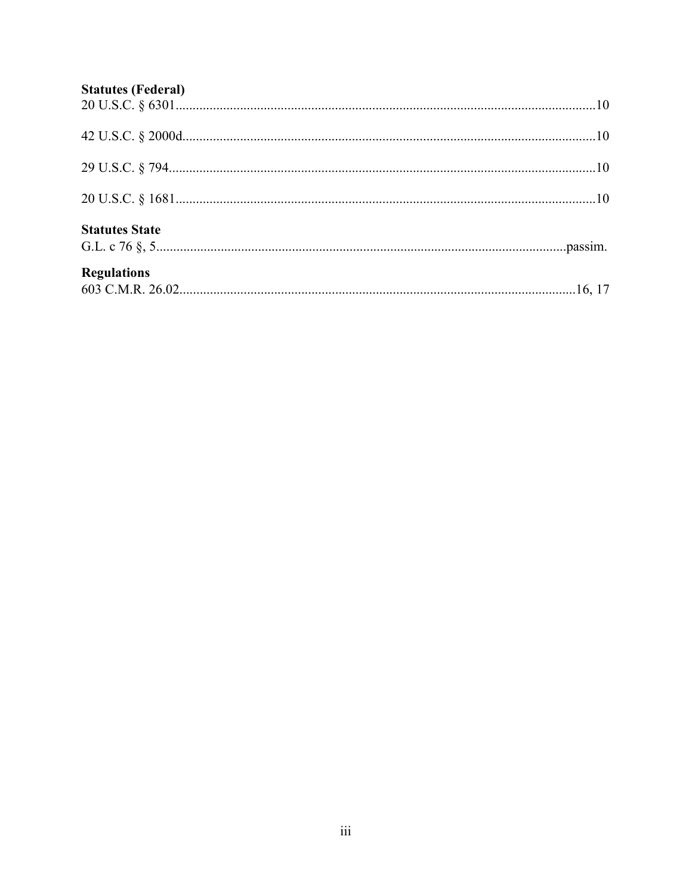# **Statutes (Federal)**

| <b>Regulations</b>    |  |
|-----------------------|--|
| <b>Statutes State</b> |  |
|                       |  |
|                       |  |
|                       |  |
|                       |  |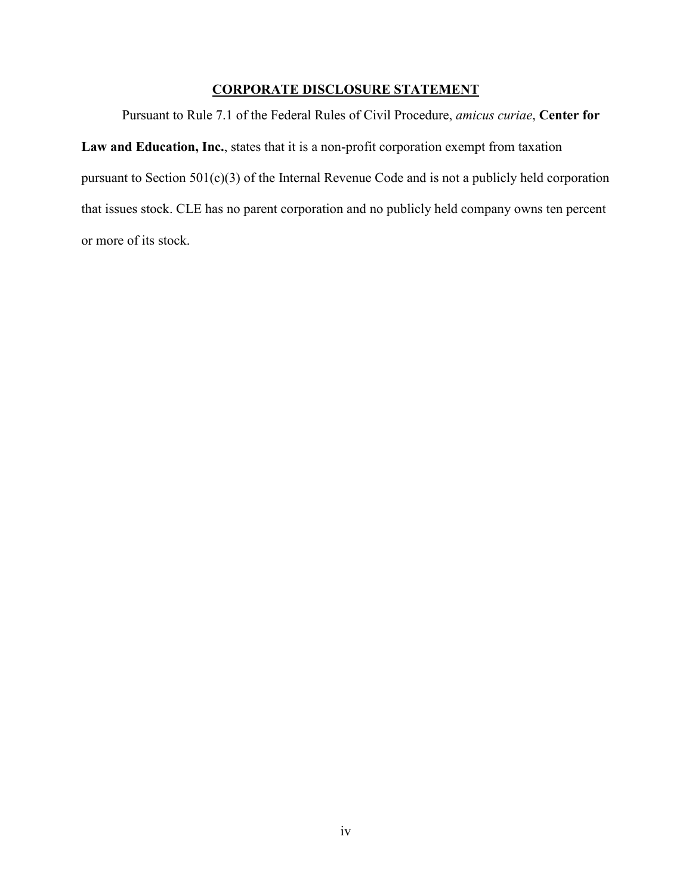# **CORPORATE DISCLOSURE STATEMENT**

<span id="page-4-0"></span>Pursuant to Rule 7.1 of the Federal Rules of Civil Procedure, *amicus curiae*, **Center for Law and Education, Inc.**, states that it is a non-profit corporation exempt from taxation pursuant to Section 501(c)(3) of the Internal Revenue Code and is not a publicly held corporation that issues stock. CLE has no parent corporation and no publicly held company owns ten percent or more of its stock.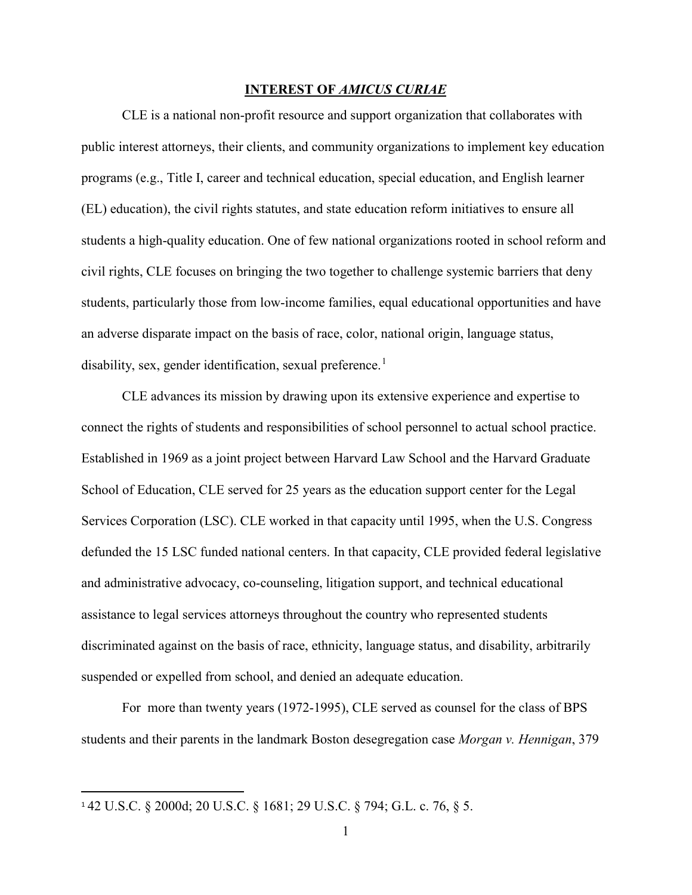#### **INTEREST OF** *AMICUS CURIAE*

<span id="page-5-0"></span>CLE is a national non-profit resource and support organization that collaborates with public interest attorneys, their clients, and community organizations to implement key education programs (e.g., Title I, career and technical education, special education, and English learner (EL) education), the civil rights statutes, and state education reform initiatives to ensure all students a high-quality education. One of few national organizations rooted in school reform and civil rights, CLE focuses on bringing the two together to challenge systemic barriers that deny students, particularly those from low-income families, equal educational opportunities and have an adverse disparate impact on the basis of race, color, national origin, language status, disability, sex, gender identification, sexual preference.<sup>[1](#page-5-1)</sup>

CLE advances its mission by drawing upon its extensive experience and expertise to connect the rights of students and responsibilities of school personnel to actual school practice. Established in 1969 as a joint project between Harvard Law School and the Harvard Graduate School of Education, CLE served for 25 years as the education support center for the Legal Services Corporation (LSC). CLE worked in that capacity until 1995, when the U.S. Congress defunded the 15 LSC funded national centers. In that capacity, CLE provided federal legislative and administrative advocacy, co-counseling, litigation support, and technical educational assistance to legal services attorneys throughout the country who represented students discriminated against on the basis of race, ethnicity, language status, and disability, arbitrarily suspended or expelled from school, and denied an adequate education.

For more than twenty years (1972-1995), CLE served as counsel for the class of BPS students and their parents in the landmark Boston desegregation case *Morgan v. Hennigan*, 379

<span id="page-5-1"></span> <sup>1</sup> 42 U.S.C. § 2000d; 20 U.S.C. § 1681; 29 U.S.C. § 794; G.L. c. 76, § 5.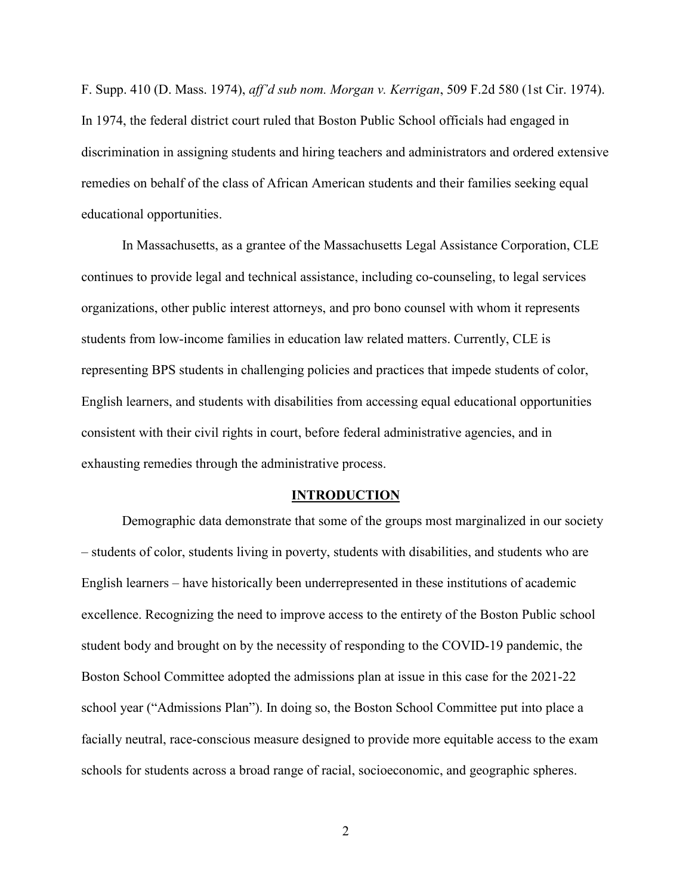F. Supp. 410 (D. Mass. 1974), *aff'd sub nom. Morgan v. Kerrigan*, 509 F.2d 580 (1st Cir. 1974). In 1974, the federal district court ruled that Boston Public School officials had engaged in discrimination in assigning students and hiring teachers and administrators and ordered extensive remedies on behalf of the class of African American students and their families seeking equal educational opportunities.

In Massachusetts, as a grantee of the Massachusetts Legal Assistance Corporation, CLE continues to provide legal and technical assistance, including co-counseling, to legal services organizations, other public interest attorneys, and pro bono counsel with whom it represents students from low-income families in education law related matters. Currently, CLE is representing BPS students in challenging policies and practices that impede students of color, English learners, and students with disabilities from accessing equal educational opportunities consistent with their civil rights in court, before federal administrative agencies, and in exhausting remedies through the administrative process.

#### **INTRODUCTION**

<span id="page-6-0"></span>Demographic data demonstrate that some of the groups most marginalized in our society – students of color, students living in poverty, students with disabilities, and students who are English learners – have historically been underrepresented in these institutions of academic excellence. Recognizing the need to improve access to the entirety of the Boston Public school student body and brought on by the necessity of responding to the COVID-19 pandemic, the Boston School Committee adopted the admissions plan at issue in this case for the 2021-22 school year ("Admissions Plan"). In doing so, the Boston School Committee put into place a facially neutral, race-conscious measure designed to provide more equitable access to the exam schools for students across a broad range of racial, socioeconomic, and geographic spheres.

2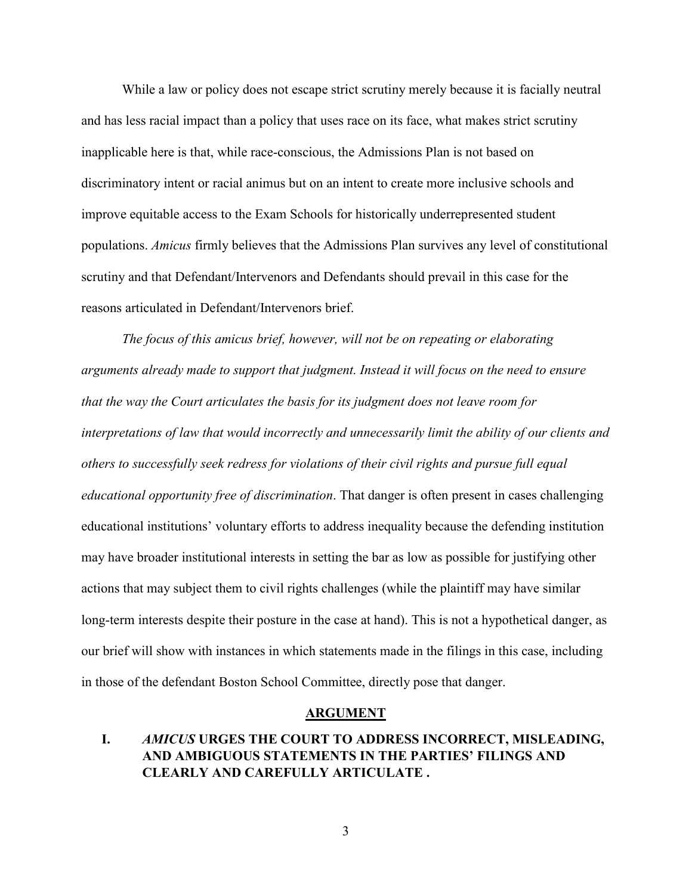While a law or policy does not escape strict scrutiny merely because it is facially neutral and has less racial impact than a policy that uses race on its face, what makes strict scrutiny inapplicable here is that, while race-conscious, the Admissions Plan is not based on discriminatory intent or racial animus but on an intent to create more inclusive schools and improve equitable access to the Exam Schools for historically underrepresented student populations. *Amicus* firmly believes that the Admissions Plan survives any level of constitutional scrutiny and that Defendant/Intervenors and Defendants should prevail in this case for the reasons articulated in Defendant/Intervenors brief.

*The focus of this amicus brief, however, will not be on repeating or elaborating arguments already made to support that judgment. Instead it will focus on the need to ensure that the way the Court articulates the basis for its judgment does not leave room for interpretations of law that would incorrectly and unnecessarily limit the ability of our clients and others to successfully seek redress for violations of their civil rights and pursue full equal educational opportunity free of discrimination*. That danger is often present in cases challenging educational institutions' voluntary efforts to address inequality because the defending institution may have broader institutional interests in setting the bar as low as possible for justifying other actions that may subject them to civil rights challenges (while the plaintiff may have similar long-term interests despite their posture in the case at hand). This is not a hypothetical danger, as our brief will show with instances in which statements made in the filings in this case, including in those of the defendant Boston School Committee, directly pose that danger.

#### **ARGUMENT**

### <span id="page-7-1"></span><span id="page-7-0"></span>**I.** *AMICUS* **URGES THE COURT TO ADDRESS INCORRECT, MISLEADING, AND AMBIGUOUS STATEMENTS IN THE PARTIES' FILINGS AND CLEARLY AND CAREFULLY ARTICULATE .**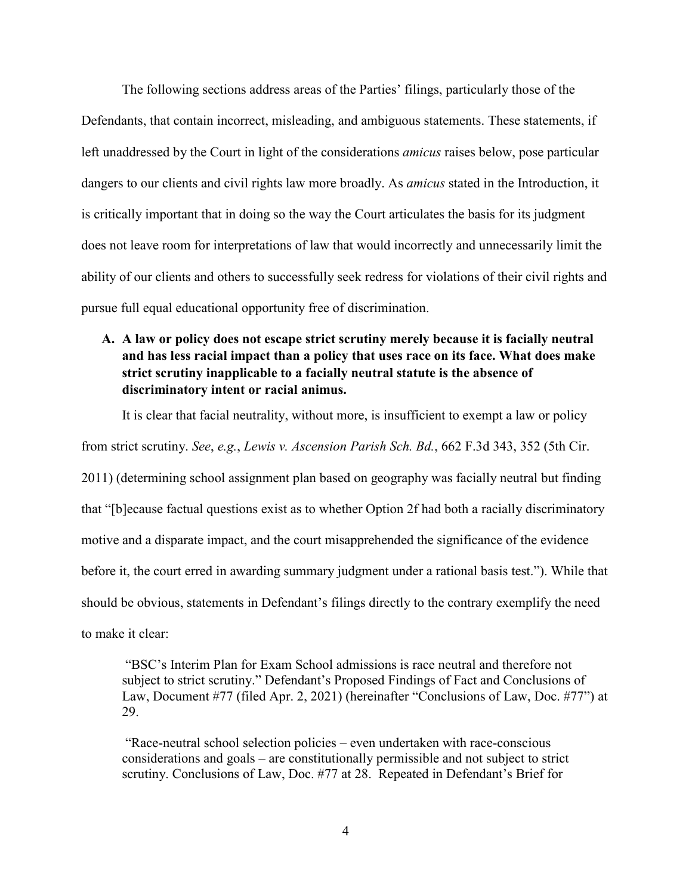The following sections address areas of the Parties' filings, particularly those of the Defendants, that contain incorrect, misleading, and ambiguous statements. These statements, if left unaddressed by the Court in light of the considerations *amicus* raises below, pose particular dangers to our clients and civil rights law more broadly. As *amicus* stated in the Introduction, it is critically important that in doing so the way the Court articulates the basis for its judgment does not leave room for interpretations of law that would incorrectly and unnecessarily limit the ability of our clients and others to successfully seek redress for violations of their civil rights and pursue full equal educational opportunity free of discrimination.

# <span id="page-8-0"></span>**A. A law or policy does not escape strict scrutiny merely because it is facially neutral and has less racial impact than a policy that uses race on its face. What does make strict scrutiny inapplicable to a facially neutral statute is the absence of discriminatory intent or racial animus.**

It is clear that facial neutrality, without more, is insufficient to exempt a law or policy from strict scrutiny. *See*, *e.g.*, *Lewis v. Ascension Parish Sch. Bd.*, 662 F.3d 343, 352 (5th Cir. 2011) (determining school assignment plan based on geography was facially neutral but finding that "[b]ecause factual questions exist as to whether Option 2f had both a racially discriminatory motive and a disparate impact, and the court misapprehended the significance of the evidence

before it, the court erred in awarding summary judgment under a rational basis test."). While that

should be obvious, statements in Defendant's filings directly to the contrary exemplify the need

to make it clear:

"BSC's Interim Plan for Exam School admissions is race neutral and therefore not subject to strict scrutiny." Defendant's Proposed Findings of Fact and Conclusions of Law, Document #77 (filed Apr. 2, 2021) (hereinafter "Conclusions of Law, Doc. #77") at 29.

"Race-neutral school selection policies – even undertaken with race-conscious considerations and goals – are constitutionally permissible and not subject to strict scrutiny. Conclusions of Law, Doc. #77 at 28. Repeated in Defendant's Brief for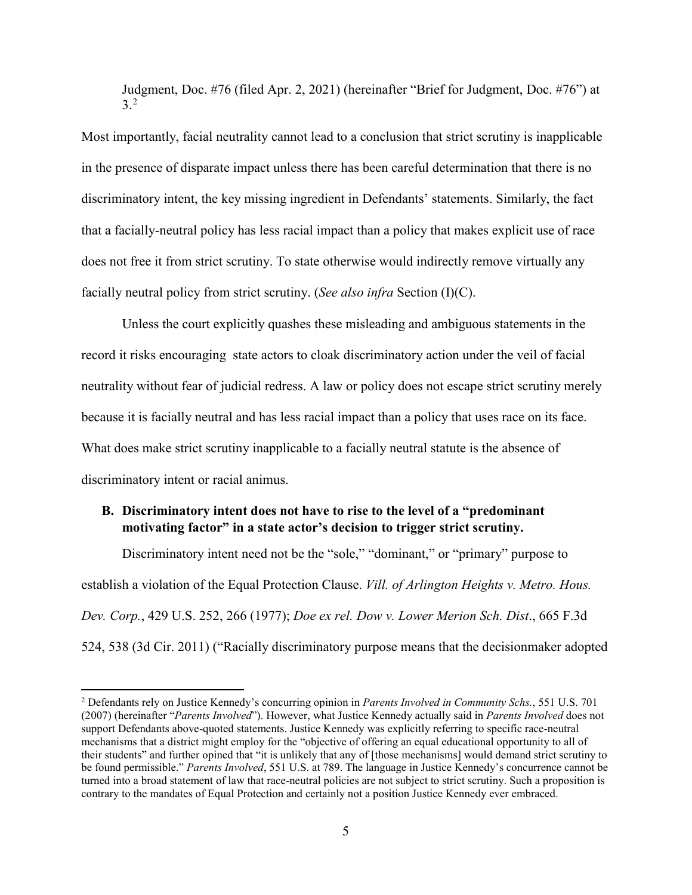Judgment, Doc. #76 (filed Apr. 2, 2021) (hereinafter "Brief for Judgment, Doc. #76") at 3.[2](#page-9-1)

Most importantly, facial neutrality cannot lead to a conclusion that strict scrutiny is inapplicable in the presence of disparate impact unless there has been careful determination that there is no discriminatory intent, the key missing ingredient in Defendants' statements. Similarly, the fact that a facially-neutral policy has less racial impact than a policy that makes explicit use of race does not free it from strict scrutiny. To state otherwise would indirectly remove virtually any facially neutral policy from strict scrutiny. (*See also infra* Section (I)(C).

Unless the court explicitly quashes these misleading and ambiguous statements in the record it risks encouraging state actors to cloak discriminatory action under the veil of facial neutrality without fear of judicial redress. A law or policy does not escape strict scrutiny merely because it is facially neutral and has less racial impact than a policy that uses race on its face. What does make strict scrutiny inapplicable to a facially neutral statute is the absence of discriminatory intent or racial animus.

### <span id="page-9-0"></span>**B. Discriminatory intent does not have to rise to the level of a "predominant motivating factor" in a state actor's decision to trigger strict scrutiny.**

Discriminatory intent need not be the "sole," "dominant," or "primary" purpose to establish a violation of the Equal Protection Clause. *Vill. of Arlington Heights v. Metro. Hous. Dev. Corp.*, 429 U.S. 252, 266 (1977); *Doe ex rel. Dow v. Lower Merion Sch. Dist*., 665 F.3d 524, 538 (3d Cir. 2011) ("Racially discriminatory purpose means that the decisionmaker adopted

<span id="page-9-1"></span><sup>2</sup> Defendants rely on Justice Kennedy's concurring opinion in *Parents Involved in Community Schs.*, 551 U.S. 701 (2007) (hereinafter "*Parents Involved*"). However, what Justice Kennedy actually said in *Parents Involved* does not support Defendants above-quoted statements. Justice Kennedy was explicitly referring to specific race-neutral mechanisms that a district might employ for the "objective of offering an equal educational opportunity to all of their students" and further opined that "it is unlikely that any of [those mechanisms] would demand strict scrutiny to be found permissible." *Parents Involved*, 551 U.S. at 789. The language in Justice Kennedy's concurrence cannot be turned into a broad statement of law that race-neutral policies are not subject to strict scrutiny. Such a proposition is contrary to the mandates of Equal Protection and certainly not a position Justice Kennedy ever embraced.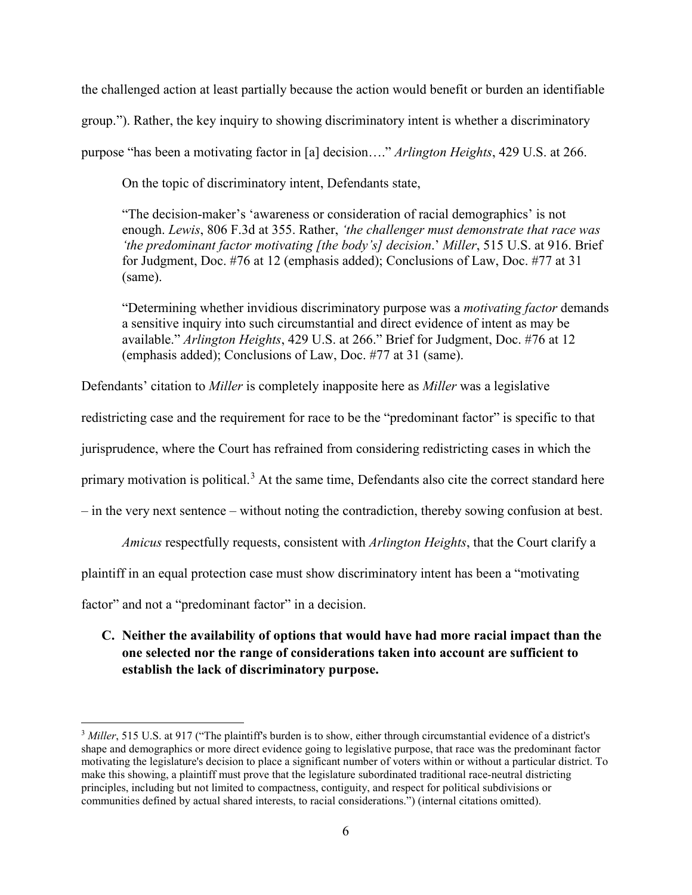the challenged action at least partially because the action would benefit or burden an identifiable group."). Rather, the key inquiry to showing discriminatory intent is whether a discriminatory purpose "has been a motivating factor in [a] decision…." *Arlington Heights*, 429 U.S. at 266.

On the topic of discriminatory intent, Defendants state,

"The decision-maker's 'awareness or consideration of racial demographics' is not enough. *Lewis*, 806 F.3d at 355. Rather, *'the challenger must demonstrate that race was 'the predominant factor motivating [the body's] decision*.' *Miller*, 515 U.S. at 916. Brief for Judgment, Doc. #76 at 12 (emphasis added); Conclusions of Law, Doc. #77 at 31 (same).

"Determining whether invidious discriminatory purpose was a *motivating factor* demands a sensitive inquiry into such circumstantial and direct evidence of intent as may be available." *Arlington Heights*, 429 U.S. at 266." Brief for Judgment, Doc. #76 at 12 (emphasis added); Conclusions of Law, Doc. #77 at 31 (same).

Defendants' citation to *Miller* is completely inapposite here as *Miller* was a legislative

redistricting case and the requirement for race to be the "predominant factor" is specific to that

jurisprudence, where the Court has refrained from considering redistricting cases in which the

primary motivation is political.<sup>[3](#page-10-1)</sup> At the same time, Defendants also cite the correct standard here

– in the very next sentence – without noting the contradiction, thereby sowing confusion at best.

*Amicus* respectfully requests, consistent with *Arlington Heights*, that the Court clarify a

plaintiff in an equal protection case must show discriminatory intent has been a "motivating

factor" and not a "predominant factor" in a decision.

 $\overline{a}$ 

<span id="page-10-0"></span>**C. Neither the availability of options that would have had more racial impact than the one selected nor the range of considerations taken into account are sufficient to establish the lack of discriminatory purpose.**

<span id="page-10-1"></span><sup>&</sup>lt;sup>3</sup> *Miller*, 515 U.S. at 917 ("The plaintiff's burden is to show, either through circumstantial evidence of a district's shape and demographics or more direct evidence going to legislative purpose, that race was the predominant factor motivating the legislature's decision to place a significant number of voters within or without a particular district. To make this showing, a plaintiff must prove that the legislature subordinated traditional race-neutral districting principles, including but not limited to compactness, contiguity, and respect for political subdivisions or communities defined by actual shared interests, to racial considerations.") (internal citations omitted).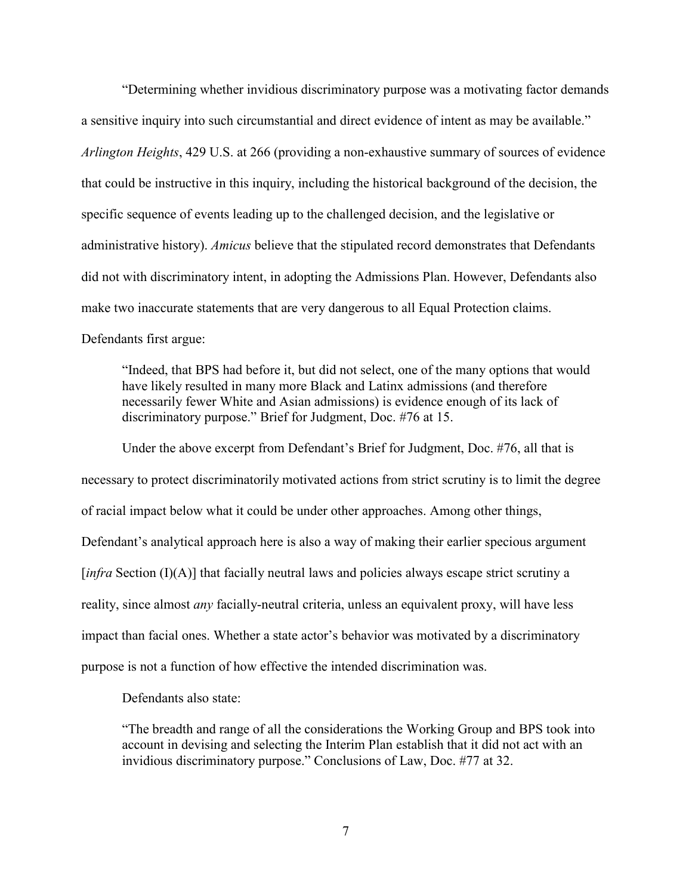"Determining whether invidious discriminatory purpose was a motivating factor demands a sensitive inquiry into such circumstantial and direct evidence of intent as may be available." *Arlington Heights*, 429 U.S. at 266 (providing a non-exhaustive summary of sources of evidence that could be instructive in this inquiry, including the historical background of the decision, the specific sequence of events leading up to the challenged decision, and the legislative or administrative history). *Amicus* believe that the stipulated record demonstrates that Defendants did not with discriminatory intent, in adopting the Admissions Plan. However, Defendants also make two inaccurate statements that are very dangerous to all Equal Protection claims. Defendants first argue:

"Indeed, that BPS had before it, but did not select, one of the many options that would have likely resulted in many more Black and Latinx admissions (and therefore necessarily fewer White and Asian admissions) is evidence enough of its lack of discriminatory purpose." Brief for Judgment, Doc. #76 at 15.

Under the above excerpt from Defendant's Brief for Judgment, Doc. #76, all that is necessary to protect discriminatorily motivated actions from strict scrutiny is to limit the degree of racial impact below what it could be under other approaches. Among other things, Defendant's analytical approach here is also a way of making their earlier specious argument [*infra* Section (I)(A)] that facially neutral laws and policies always escape strict scrutiny a reality, since almost *any* facially-neutral criteria, unless an equivalent proxy, will have less impact than facial ones. Whether a state actor's behavior was motivated by a discriminatory purpose is not a function of how effective the intended discrimination was.

Defendants also state:

"The breadth and range of all the considerations the Working Group and BPS took into account in devising and selecting the Interim Plan establish that it did not act with an invidious discriminatory purpose." Conclusions of Law, Doc. #77 at 32.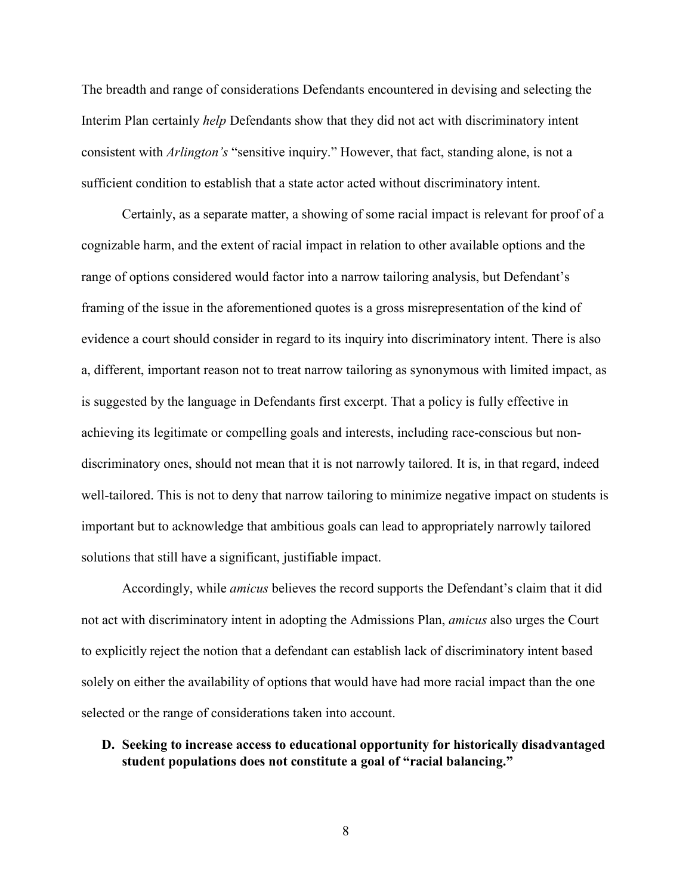The breadth and range of considerations Defendants encountered in devising and selecting the Interim Plan certainly *help* Defendants show that they did not act with discriminatory intent consistent with *Arlington's* "sensitive inquiry." However, that fact, standing alone, is not a sufficient condition to establish that a state actor acted without discriminatory intent.

Certainly, as a separate matter, a showing of some racial impact is relevant for proof of a cognizable harm, and the extent of racial impact in relation to other available options and the range of options considered would factor into a narrow tailoring analysis, but Defendant's framing of the issue in the aforementioned quotes is a gross misrepresentation of the kind of evidence a court should consider in regard to its inquiry into discriminatory intent. There is also a, different, important reason not to treat narrow tailoring as synonymous with limited impact, as is suggested by the language in Defendants first excerpt. That a policy is fully effective in achieving its legitimate or compelling goals and interests, including race-conscious but nondiscriminatory ones, should not mean that it is not narrowly tailored. It is, in that regard, indeed well-tailored. This is not to deny that narrow tailoring to minimize negative impact on students is important but to acknowledge that ambitious goals can lead to appropriately narrowly tailored solutions that still have a significant, justifiable impact.

Accordingly, while *amicus* believes the record supports the Defendant's claim that it did not act with discriminatory intent in adopting the Admissions Plan, *amicus* also urges the Court to explicitly reject the notion that a defendant can establish lack of discriminatory intent based solely on either the availability of options that would have had more racial impact than the one selected or the range of considerations taken into account.

<span id="page-12-0"></span>**D. Seeking to increase access to educational opportunity for historically disadvantaged student populations does not constitute a goal of "racial balancing."** 

8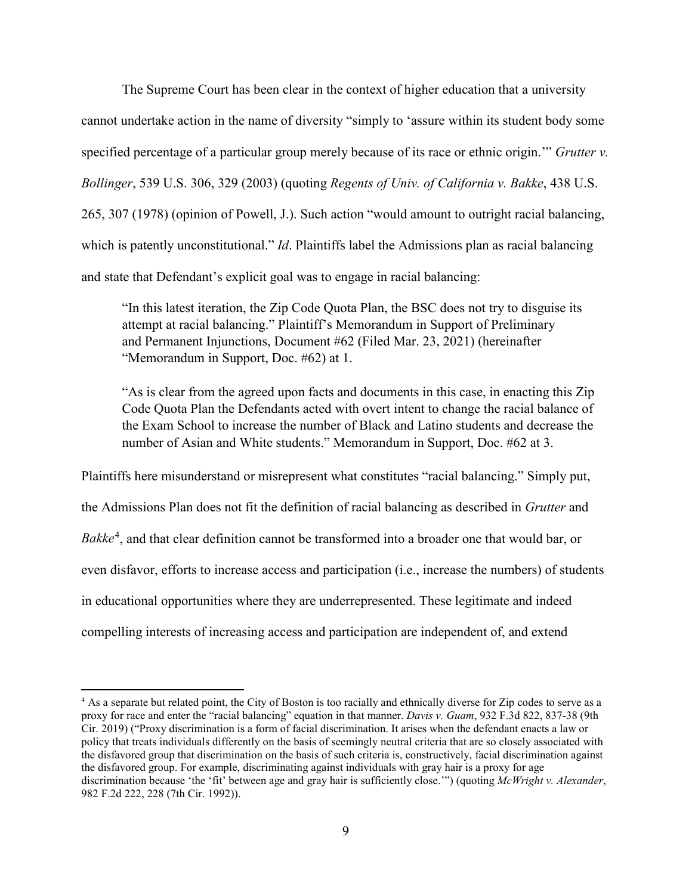The Supreme Court has been clear in the context of higher education that a university cannot undertake action in the name of diversity "simply to 'assure within its student body some specified percentage of a particular group merely because of its race or ethnic origin.'" *Grutter v. Bollinger*, 539 U.S. 306, 329 (2003) (quoting *Regents of Univ. of California v. Bakke*, 438 U.S. 265, 307 (1978) (opinion of Powell, J.). Such action "would amount to outright racial balancing, which is patently unconstitutional." *Id*. Plaintiffs label the Admissions plan as racial balancing and state that Defendant's explicit goal was to engage in racial balancing:

"In this latest iteration, the Zip Code Quota Plan, the BSC does not try to disguise its attempt at racial balancing." Plaintiff's Memorandum in Support of Preliminary and Permanent Injunctions, Document #62 (Filed Mar. 23, 2021) (hereinafter "Memorandum in Support, Doc. #62) at 1.

"As is clear from the agreed upon facts and documents in this case, in enacting this Zip Code Quota Plan the Defendants acted with overt intent to change the racial balance of the Exam School to increase the number of Black and Latino students and decrease the number of Asian and White students." Memorandum in Support, Doc. #62 at 3.

Plaintiffs here misunderstand or misrepresent what constitutes "racial balancing." Simply put, the Admissions Plan does not fit the definition of racial balancing as described in *Grutter* and *Bakke*[4](#page-13-0) , and that clear definition cannot be transformed into a broader one that would bar, or even disfavor, efforts to increase access and participation (i.e., increase the numbers) of students in educational opportunities where they are underrepresented. These legitimate and indeed compelling interests of increasing access and participation are independent of, and extend

<span id="page-13-0"></span><sup>&</sup>lt;sup>4</sup> As a separate but related point, the City of Boston is too racially and ethnically diverse for Zip codes to serve as a proxy for race and enter the "racial balancing" equation in that manner. *Davis v. Guam*, 932 F.3d 822, 837-38 (9th Cir. 2019) ("Proxy discrimination is a form of facial discrimination. It arises when the defendant enacts a law or policy that treats individuals differently on the basis of seemingly neutral criteria that are so closely associated with the disfavored group that discrimination on the basis of such criteria is, constructively, facial discrimination against the disfavored group. For example, discriminating against individuals with gray hair is a proxy for age discrimination because 'the 'fit' between age and gray hair is sufficiently close.'") (quoting *McWright v. Alexander*, 982 F.2d 222, 228 (7th Cir. 1992)).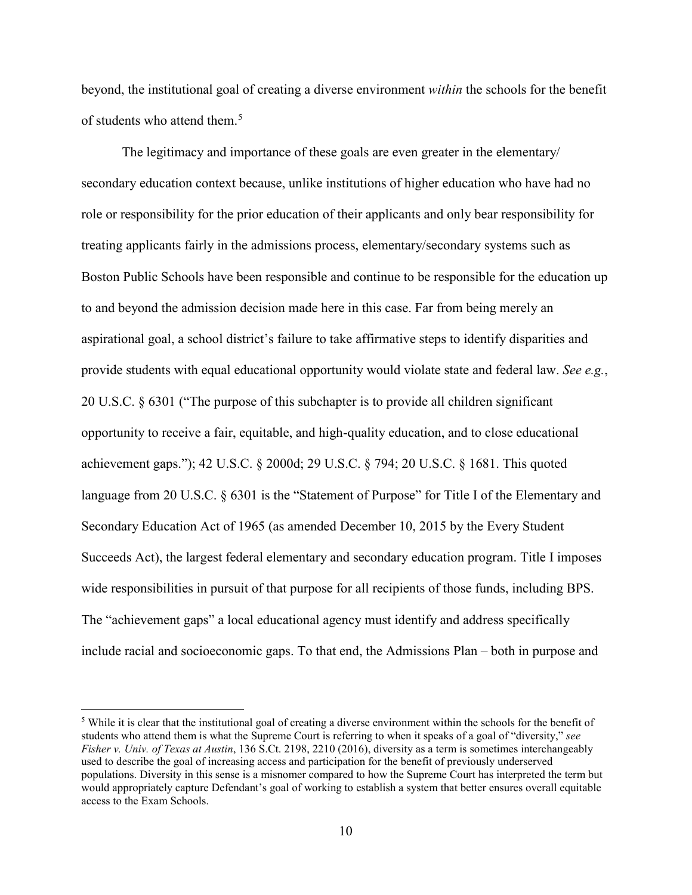beyond, the institutional goal of creating a diverse environment *within* the schools for the benefit of students who attend them.<sup>[5](#page-14-0)</sup>

The legitimacy and importance of these goals are even greater in the elementary/ secondary education context because, unlike institutions of higher education who have had no role or responsibility for the prior education of their applicants and only bear responsibility for treating applicants fairly in the admissions process, elementary/secondary systems such as Boston Public Schools have been responsible and continue to be responsible for the education up to and beyond the admission decision made here in this case. Far from being merely an aspirational goal, a school district's failure to take affirmative steps to identify disparities and provide students with equal educational opportunity would violate state and federal law. *See e.g.*, 20 U.S.C. § 6301 ("The purpose of this subchapter is to provide all children significant opportunity to receive a fair, equitable, and high-quality education, and to close educational achievement gaps."); 42 U.S.C. § 2000d; 29 U.S.C. § 794; 20 U.S.C. § 1681. This quoted language from 20 U.S.C. § 6301 is the "Statement of Purpose" for Title I of the Elementary and Secondary Education Act of 1965 (as amended December 10, 2015 by the Every Student Succeeds Act), the largest federal elementary and secondary education program. Title I imposes wide responsibilities in pursuit of that purpose for all recipients of those funds, including BPS. The "achievement gaps" a local educational agency must identify and address specifically include racial and socioeconomic gaps. To that end, the Admissions Plan – both in purpose and

<span id="page-14-0"></span><sup>&</sup>lt;sup>5</sup> While it is clear that the institutional goal of creating a diverse environment within the schools for the benefit of students who attend them is what the Supreme Court is referring to when it speaks of a goal of "diversity," *see Fisher v. Univ. of Texas at Austin*, 136 S.Ct. 2198, 2210 (2016), diversity as a term is sometimes interchangeably used to describe the goal of increasing access and participation for the benefit of previously underserved populations. Diversity in this sense is a misnomer compared to how the Supreme Court has interpreted the term but would appropriately capture Defendant's goal of working to establish a system that better ensures overall equitable access to the Exam Schools.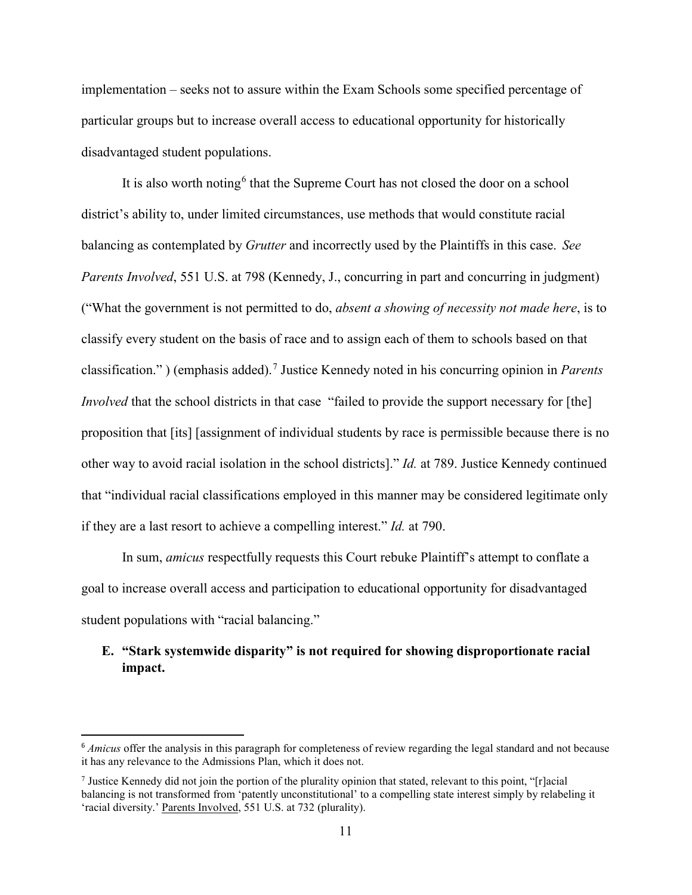implementation – seeks not to assure within the Exam Schools some specified percentage of particular groups but to increase overall access to educational opportunity for historically disadvantaged student populations.

It is also worth noting<sup>[6](#page-15-1)</sup> that the Supreme Court has not closed the door on a school district's ability to, under limited circumstances, use methods that would constitute racial balancing as contemplated by *Grutter* and incorrectly used by the Plaintiffs in this case. *See Parents Involved*, 551 U.S. at 798 (Kennedy, J., concurring in part and concurring in judgment) ("What the government is not permitted to do, *absent a showing of necessity not made here*, is to classify every student on the basis of race and to assign each of them to schools based on that classification." ) (emphasis added).[7](#page-15-2) Justice Kennedy noted in his concurring opinion in *Parents Involved* that the school districts in that case "failed to provide the support necessary for [the] proposition that [its] [assignment of individual students by race is permissible because there is no other way to avoid racial isolation in the school districts]." *Id.* at 789. Justice Kennedy continued that "individual racial classifications employed in this manner may be considered legitimate only if they are a last resort to achieve a compelling interest." *Id.* at 790.

In sum, *amicus* respectfully requests this Court rebuke Plaintiff's attempt to conflate a goal to increase overall access and participation to educational opportunity for disadvantaged student populations with "racial balancing."

### <span id="page-15-0"></span>**E. "Stark systemwide disparity" is not required for showing disproportionate racial impact.**

<span id="page-15-1"></span> <sup>6</sup> *Amicus* offer the analysis in this paragraph for completeness of review regarding the legal standard and not because it has any relevance to the Admissions Plan, which it does not.

<span id="page-15-2"></span><sup>&</sup>lt;sup>7</sup> Justice Kennedy did not join the portion of the plurality opinion that stated, relevant to this point, "[r]acial balancing is not transformed from 'patently unconstitutional' to a compelling state interest simply by relabeling it 'racial diversity.' Parents Involved, 551 U.S. at 732 (plurality).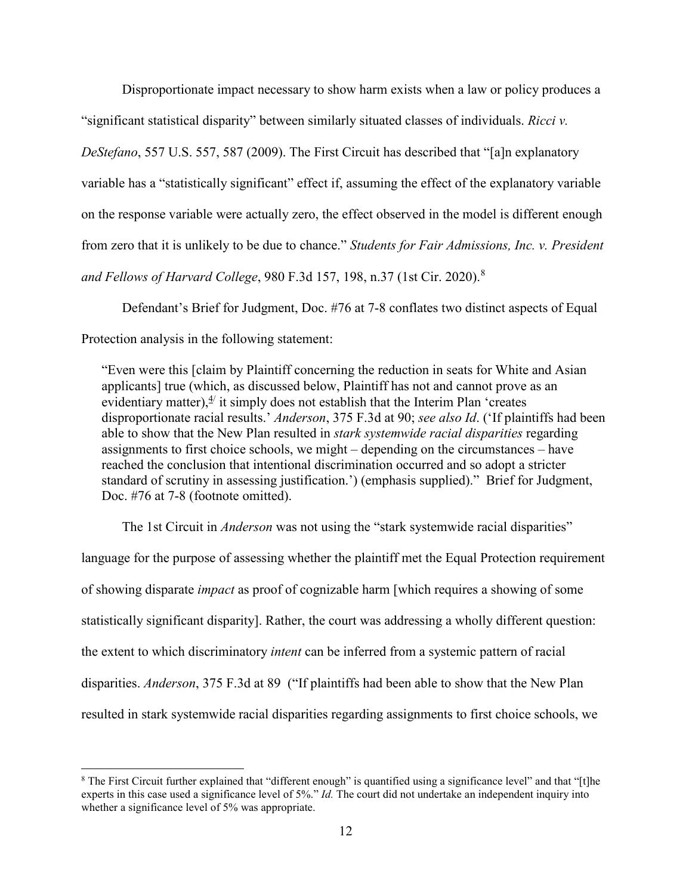Disproportionate impact necessary to show harm exists when a law or policy produces a "significant statistical disparity" between similarly situated classes of individuals. *Ricci v. DeStefano*, 557 U.S. 557, 587 (2009). The First Circuit has described that "[a]n explanatory variable has a "statistically significant" effect if, assuming the effect of the explanatory variable on the response variable were actually zero, the effect observed in the model is different enough from zero that it is unlikely to be due to chance." *Students for Fair Admissions, Inc. v. President and Fellows of Harvard College*, 980 F.3d 157, 198, n.37 (1st Cir. 2020).[8](#page-16-0)

Defendant's Brief for Judgment, Doc. #76 at 7-8 conflates two distinct aspects of Equal Protection analysis in the following statement:

"Even were this [claim by Plaintiff concerning the reduction in seats for White and Asian applicants] true (which, as discussed below, Plaintiff has not and cannot prove as an evidentiary matter), $\frac{4}{3}$  it simply does not establish that the Interim Plan 'creates disproportionate racial results.' *Anderson*, 375 F.3d at 90; *see also Id*. ('If plaintiffs had been able to show that the New Plan resulted in *stark systemwide racial disparities* regarding assignments to first choice schools, we might – depending on the circumstances – have reached the conclusion that intentional discrimination occurred and so adopt a stricter standard of scrutiny in assessing justification.') (emphasis supplied)." Brief for Judgment, Doc. #76 at 7-8 (footnote omitted).

The 1st Circuit in *Anderson* was not using the "stark systemwide racial disparities" language for the purpose of assessing whether the plaintiff met the Equal Protection requirement of showing disparate *impact* as proof of cognizable harm [which requires a showing of some statistically significant disparity]. Rather, the court was addressing a wholly different question: the extent to which discriminatory *intent* can be inferred from a systemic pattern of racial disparities. *Anderson*, 375 F.3d at 89 ("If plaintiffs had been able to show that the New Plan resulted in stark systemwide racial disparities regarding assignments to first choice schools, we

<span id="page-16-0"></span><sup>&</sup>lt;sup>8</sup> The First Circuit further explained that "different enough" is quantified using a significance level" and that "[t]he experts in this case used a significance level of 5%." *Id.* The court did not undertake an independent inquiry into whether a significance level of 5% was appropriate.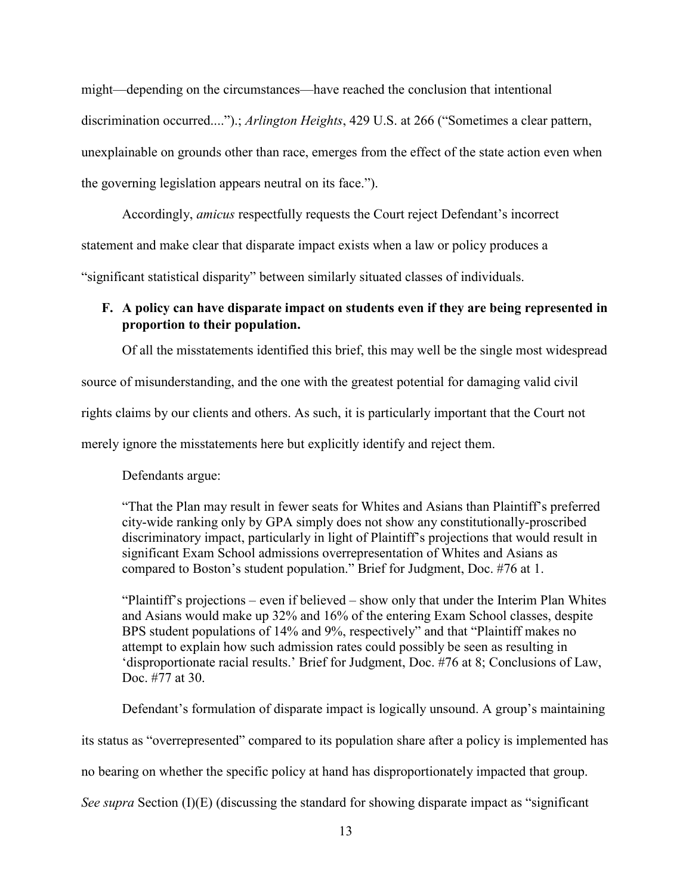might—depending on the circumstances—have reached the conclusion that intentional discrimination occurred....").; *Arlington Heights*, 429 U.S. at 266 ("Sometimes a clear pattern, unexplainable on grounds other than race, emerges from the effect of the state action even when the governing legislation appears neutral on its face.").

Accordingly, *amicus* respectfully requests the Court reject Defendant's incorrect

statement and make clear that disparate impact exists when a law or policy produces a

"significant statistical disparity" between similarly situated classes of individuals.

#### <span id="page-17-0"></span>**F. A policy can have disparate impact on students even if they are being represented in proportion to their population.**

Of all the misstatements identified this brief, this may well be the single most widespread

source of misunderstanding, and the one with the greatest potential for damaging valid civil

rights claims by our clients and others. As such, it is particularly important that the Court not

merely ignore the misstatements here but explicitly identify and reject them.

Defendants argue:

"That the Plan may result in fewer seats for Whites and Asians than Plaintiff's preferred city-wide ranking only by GPA simply does not show any constitutionally-proscribed discriminatory impact, particularly in light of Plaintiff's projections that would result in significant Exam School admissions overrepresentation of Whites and Asians as compared to Boston's student population." Brief for Judgment, Doc. #76 at 1.

"Plaintiff's projections – even if believed – show only that under the Interim Plan Whites and Asians would make up 32% and 16% of the entering Exam School classes, despite BPS student populations of 14% and 9%, respectively" and that "Plaintiff makes no attempt to explain how such admission rates could possibly be seen as resulting in 'disproportionate racial results.' Brief for Judgment, Doc. #76 at 8; Conclusions of Law, Doc. #77 at 30.

Defendant's formulation of disparate impact is logically unsound. A group's maintaining its status as "overrepresented" compared to its population share after a policy is implemented has no bearing on whether the specific policy at hand has disproportionately impacted that group. *See supra* Section (I)(E) (discussing the standard for showing disparate impact as "significant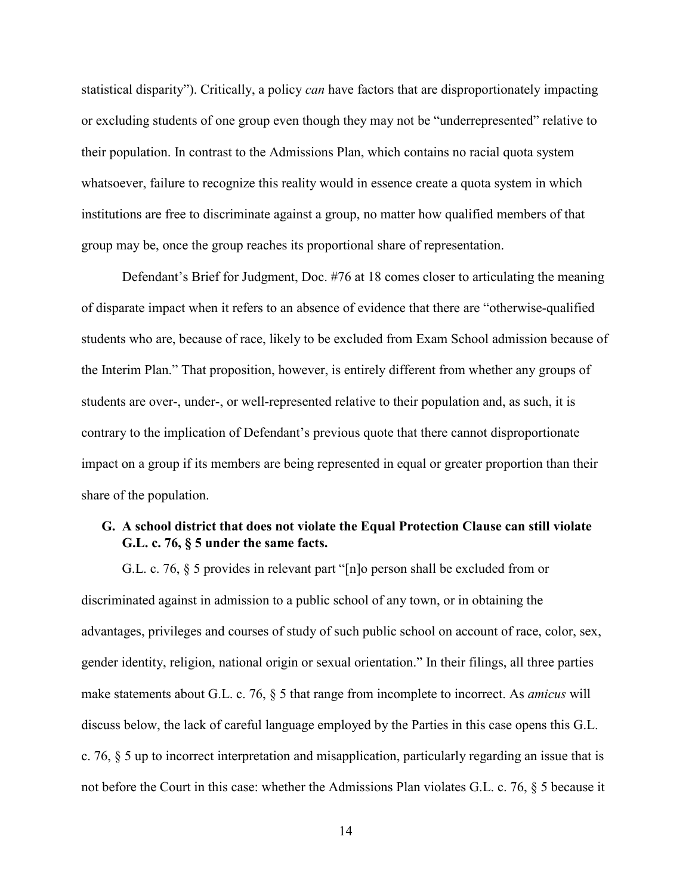statistical disparity"). Critically, a policy *can* have factors that are disproportionately impacting or excluding students of one group even though they may not be "underrepresented" relative to their population. In contrast to the Admissions Plan, which contains no racial quota system whatsoever, failure to recognize this reality would in essence create a quota system in which institutions are free to discriminate against a group, no matter how qualified members of that group may be, once the group reaches its proportional share of representation.

Defendant's Brief for Judgment, Doc. #76 at 18 comes closer to articulating the meaning of disparate impact when it refers to an absence of evidence that there are "otherwise-qualified students who are, because of race, likely to be excluded from Exam School admission because of the Interim Plan." That proposition, however, is entirely different from whether any groups of students are over-, under-, or well-represented relative to their population and, as such, it is contrary to the implication of Defendant's previous quote that there cannot disproportionate impact on a group if its members are being represented in equal or greater proportion than their share of the population.

### <span id="page-18-0"></span>**G. A school district that does not violate the Equal Protection Clause can still violate G.L. c. 76, § 5 under the same facts.**

G.L. c. 76, § 5 provides in relevant part "[n]o person shall be excluded from or discriminated against in admission to a public school of any town, or in obtaining the advantages, privileges and courses of study of such public school on account of race, color, sex, gender identity, religion, national origin or sexual orientation." In their filings, all three parties make statements about G.L. c. 76, § 5 that range from incomplete to incorrect. As *amicus* will discuss below, the lack of careful language employed by the Parties in this case opens this G.L. c. 76, § 5 up to incorrect interpretation and misapplication, particularly regarding an issue that is not before the Court in this case: whether the Admissions Plan violates G.L. c. 76, § 5 because it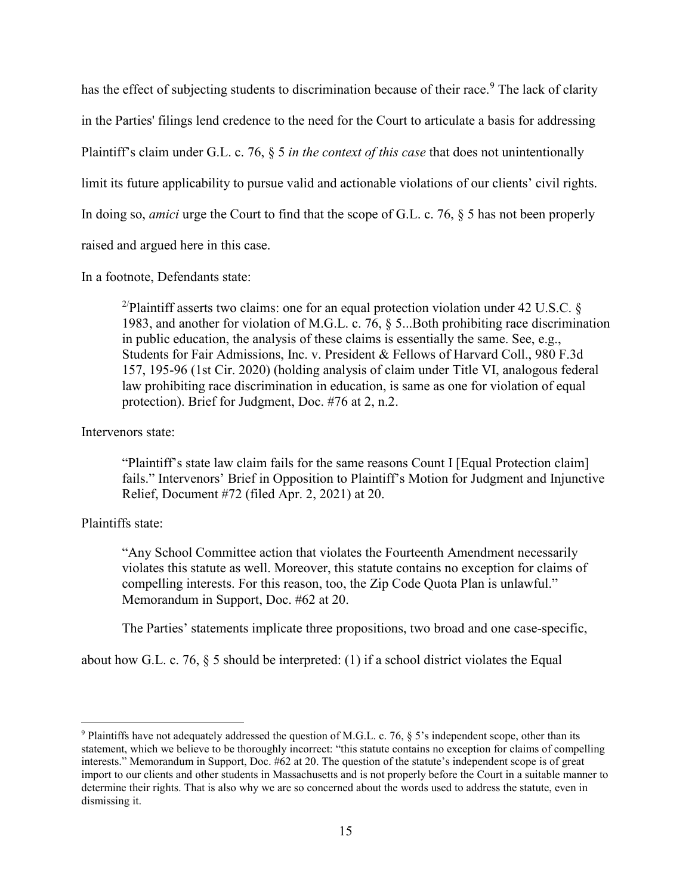has the effect of subjecting students to discrimination because of their race.<sup>[9](#page-19-0)</sup> The lack of clarity in the Parties' filings lend credence to the need for the Court to articulate a basis for addressing Plaintiff's claim under G.L. c. 76, § 5 *in the context of this case* that does not unintentionally limit its future applicability to pursue valid and actionable violations of our clients' civil rights. In doing so, *amici* urge the Court to find that the scope of G.L. c. 76, § 5 has not been properly raised and argued here in this case.

In a footnote, Defendants state:

<sup>2/</sup>Plaintiff asserts two claims: one for an equal protection violation under 42 U.S.C. § 1983, and another for violation of M.G.L. c. 76, § 5...Both prohibiting race discrimination in public education, the analysis of these claims is essentially the same. See, e.g., Students for Fair Admissions, Inc. v. President & Fellows of Harvard Coll., 980 F.3d 157, 195-96 (1st Cir. 2020) (holding analysis of claim under Title VI, analogous federal law prohibiting race discrimination in education, is same as one for violation of equal protection). Brief for Judgment, Doc. #76 at 2, n.2.

#### Intervenors state:

"Plaintiff's state law claim fails for the same reasons Count I [Equal Protection claim] fails." Intervenors' Brief in Opposition to Plaintiff's Motion for Judgment and Injunctive Relief, Document #72 (filed Apr. 2, 2021) at 20.

#### Plaintiffs state:

 $\overline{a}$ 

"Any School Committee action that violates the Fourteenth Amendment necessarily violates this statute as well. Moreover, this statute contains no exception for claims of compelling interests. For this reason, too, the Zip Code Quota Plan is unlawful." Memorandum in Support, Doc. #62 at 20.

The Parties' statements implicate three propositions, two broad and one case-specific,

about how G.L. c. 76,  $\S$  5 should be interpreted: (1) if a school district violates the Equal

<span id="page-19-0"></span><sup>9</sup> Plaintiffs have not adequately addressed the question of M.G.L. c. 76, § 5's independent scope, other than its statement, which we believe to be thoroughly incorrect: "this statute contains no exception for claims of compelling interests." Memorandum in Support, Doc. #62 at 20. The question of the statute's independent scope is of great import to our clients and other students in Massachusetts and is not properly before the Court in a suitable manner to determine their rights. That is also why we are so concerned about the words used to address the statute, even in dismissing it.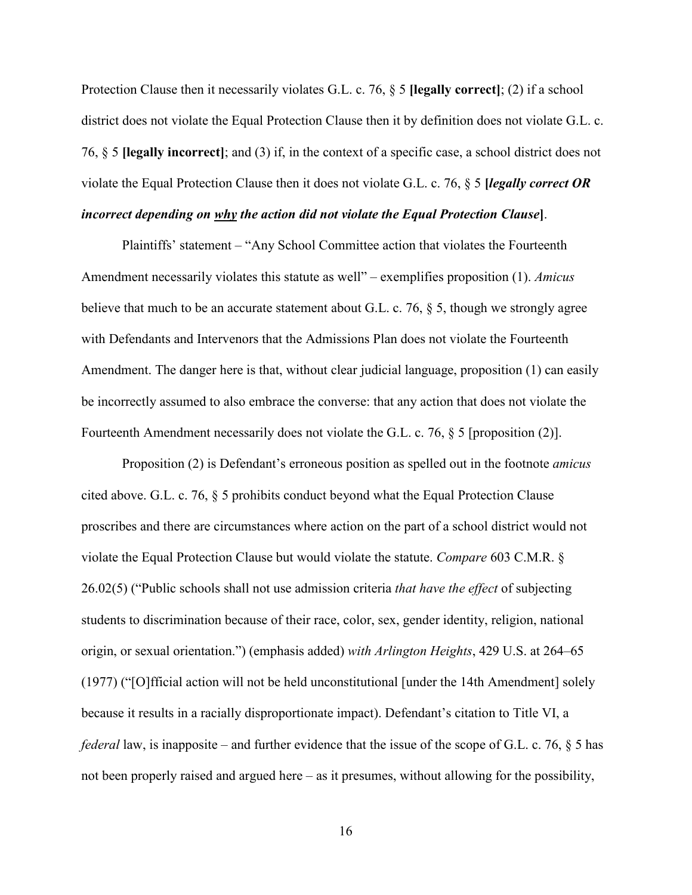Protection Clause then it necessarily violates G.L. c. 76, § 5 **[legally correct]**; (2) if a school district does not violate the Equal Protection Clause then it by definition does not violate G.L. c. 76, § 5 **[legally incorrect]**; and (3) if, in the context of a specific case, a school district does not violate the Equal Protection Clause then it does not violate G.L. c. 76, § 5 **[***legally correct OR incorrect depending on why the action did not violate the Equal Protection Clause***]**.

Plaintiffs' statement – "Any School Committee action that violates the Fourteenth Amendment necessarily violates this statute as well" – exemplifies proposition (1). *Amicus* believe that much to be an accurate statement about G.L. c. 76, § 5, though we strongly agree with Defendants and Intervenors that the Admissions Plan does not violate the Fourteenth Amendment. The danger here is that, without clear judicial language, proposition (1) can easily be incorrectly assumed to also embrace the converse: that any action that does not violate the Fourteenth Amendment necessarily does not violate the G.L. c. 76, § 5 [proposition (2)].

Proposition (2) is Defendant's erroneous position as spelled out in the footnote *amicus* cited above. G.L. c. 76, § 5 prohibits conduct beyond what the Equal Protection Clause proscribes and there are circumstances where action on the part of a school district would not violate the Equal Protection Clause but would violate the statute. *Compare* 603 C.M.R. § 26.02(5) ("Public schools shall not use admission criteria *that have the effect* of subjecting students to discrimination because of their race, color, sex, gender identity, religion, national origin, or sexual orientation.") (emphasis added) *with Arlington Heights*, 429 U.S. at 264–65 (1977) ("[O]fficial action will not be held unconstitutional [under the 14th Amendment] solely because it results in a racially disproportionate impact). Defendant's citation to Title VI, a *federal* law, is inapposite – and further evidence that the issue of the scope of G.L. c. 76,  $\S$  5 has not been properly raised and argued here – as it presumes, without allowing for the possibility,

16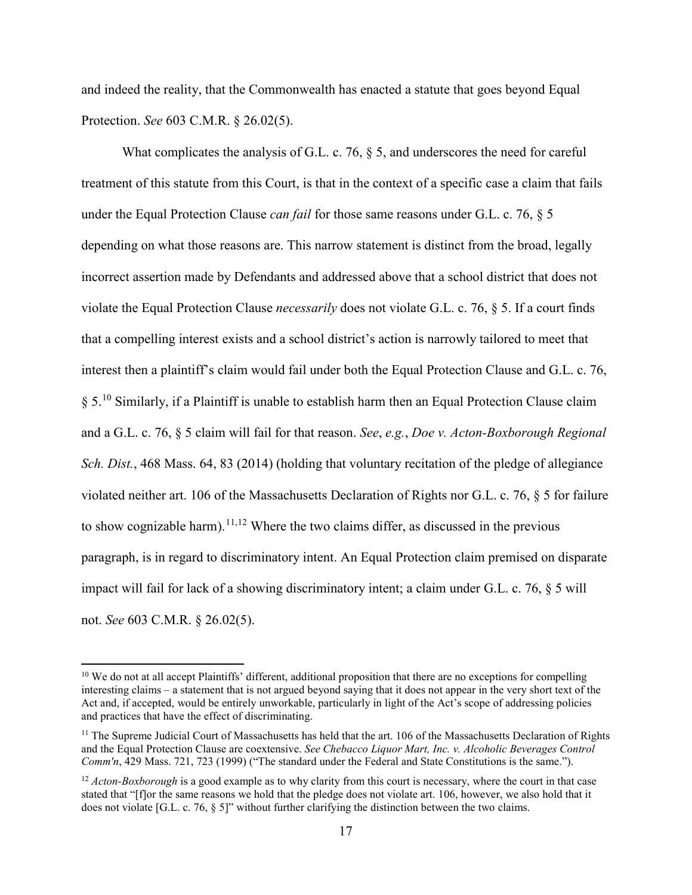and indeed the reality, that the Commonwealth has enacted a statute that goes beyond Equal Protection. *See* 603 C.M.R. § 26.02(5).

What complicates the analysis of G.L. c. 76,  $\S$  5, and underscores the need for careful treatment of this statute from this Court, is that in the context of a specific case a claim that fails under the Equal Protection Clause *can fail* for those same reasons under G.L. c. 76, § 5 depending on what those reasons are. This narrow statement is distinct from the broad, legally incorrect assertion made by Defendants and addressed above that a school district that does not violate the Equal Protection Clause *necessarily* does not violate G.L. c. 76, § 5. If a court finds that a compelling interest exists and a school district's action is narrowly tailored to meet that interest then a plaintiff's claim would fail under both the Equal Protection Clause and G.L. c. 76,  $\S 5<sup>10</sup>$  $\S 5<sup>10</sup>$  $\S 5<sup>10</sup>$  Similarly, if a Plaintiff is unable to establish harm then an Equal Protection Clause claim and a G.L. c. 76, § 5 claim will fail for that reason. *See*, *e.g.*, *Doe v. Acton-Boxborough Regional Sch. Dist.*, 468 Mass. 64, 83 (2014) (holding that voluntary recitation of the pledge of allegiance violated neither art. 106 of the Massachusetts Declaration of Rights nor G.L. c. 76, § 5 for failure to show cognizable harm).<sup>[11](#page-21-1)[,12](#page-21-2)</sup> Where the two claims differ, as discussed in the previous paragraph, is in regard to discriminatory intent. An Equal Protection claim premised on disparate impact will fail for lack of a showing discriminatory intent; a claim under G.L. c. 76, § 5 will not. *See* 603 C.M.R. § 26.02(5).

<span id="page-21-0"></span><sup>&</sup>lt;sup>10</sup> We do not at all accept Plaintiffs' different, additional proposition that there are no exceptions for compelling interesting claims – a statement that is not argued beyond saying that it does not appear in the very short text of the Act and, if accepted, would be entirely unworkable, particularly in light of the Act's scope of addressing policies and practices that have the effect of discriminating.

<span id="page-21-1"></span> $11$  The Supreme Judicial Court of Massachusetts has held that the art. 106 of the Massachusetts Declaration of Rights and the Equal Protection Clause are coextensive. *See Chebacco Liquor Mart, Inc. v. Alcoholic Beverages Control Comm'n*, 429 Mass. 721, 723 (1999) ("The standard under the Federal and State Constitutions is the same.").

<span id="page-21-2"></span><sup>&</sup>lt;sup>12</sup> *Acton-Boxborough* is a good example as to why clarity from this court is necessary, where the court in that case stated that "[f]or the same reasons we hold that the pledge does not violate art. 106, however, we also hold that it does not violate [G.L. c. 76, § 5]" without further clarifying the distinction between the two claims.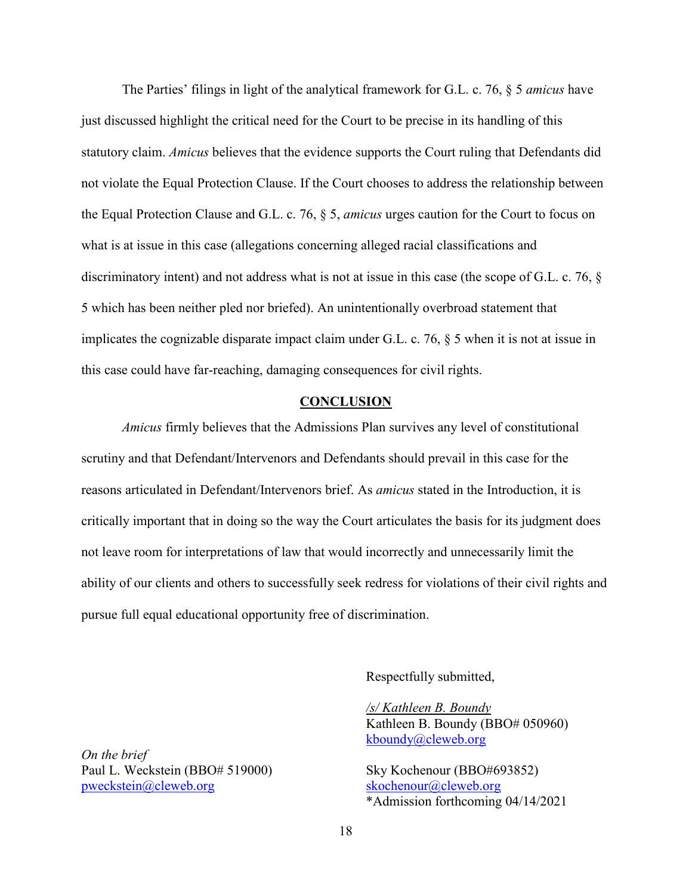The Parties' filings in light of the analytical framework for G.L. c. 76, § 5 *amicus* have just discussed highlight the critical need for the Court to be precise in its handling of this statutory claim. *Amicus* believes that the evidence supports the Court ruling that Defendants did not violate the Equal Protection Clause. If the Court chooses to address the relationship between the Equal Protection Clause and G.L. c. 76, § 5, *amicus* urges caution for the Court to focus on what is at issue in this case (allegations concerning alleged racial classifications and discriminatory intent) and not address what is not at issue in this case (the scope of G.L. c. 76, § 5 which has been neither pled nor briefed). An unintentionally overbroad statement that implicates the cognizable disparate impact claim under G.L. c. 76, § 5 when it is not at issue in this case could have far-reaching, damaging consequences for civil rights.

#### **CONCLUSION**

<span id="page-22-0"></span>*Amicus* firmly believes that the Admissions Plan survives any level of constitutional scrutiny and that Defendant/Intervenors and Defendants should prevail in this case for the reasons articulated in Defendant/Intervenors brief. As *amicus* stated in the Introduction, it is critically important that in doing so the way the Court articulates the basis for its judgment does not leave room for interpretations of law that would incorrectly and unnecessarily limit the ability of our clients and others to successfully seek redress for violations of their civil rights and pursue full equal educational opportunity free of discrimination.

Respectfully submitted,

*/s/ Kathleen B. Boundy*  Kathleen B. Boundy (BBO# 050960) [kboundy@cleweb.org](mailto:kboundy@cleweb.org)

\*Admission forthcoming 04/14/2021

*On the brief* Paul L. Weckstein (BBO# 519000) Sky Kochenour (BBO#693852) [pweckstein@cleweb.org](mailto:pweckstein@cleweb.org) [skochenour@cleweb.org](mailto:skochenour@cleweb.org)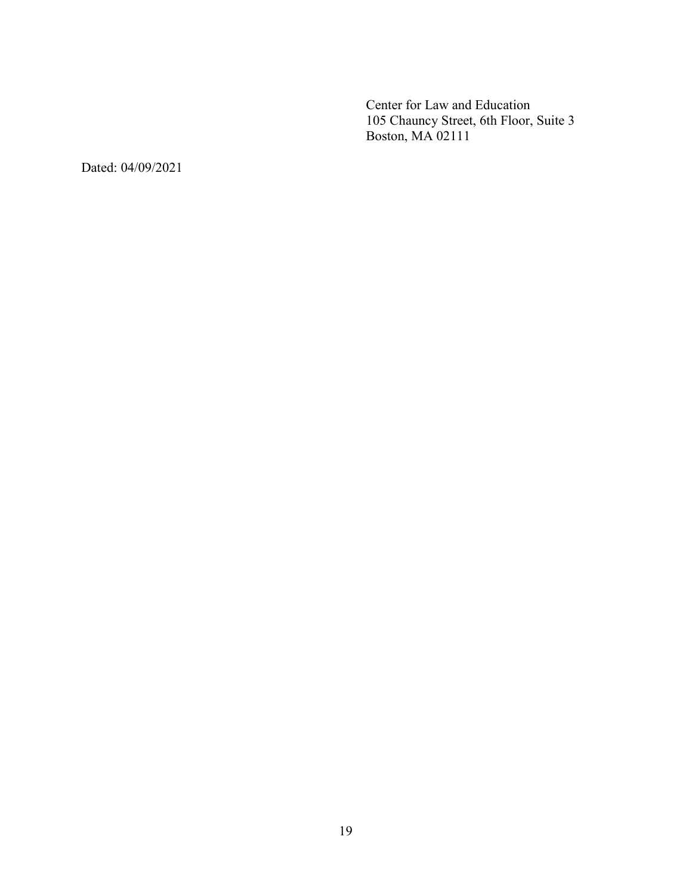Center for Law and Education 105 Chauncy Street, 6th Floor, Suite 3 Boston, MA 02111

Dated: 04/09/2021